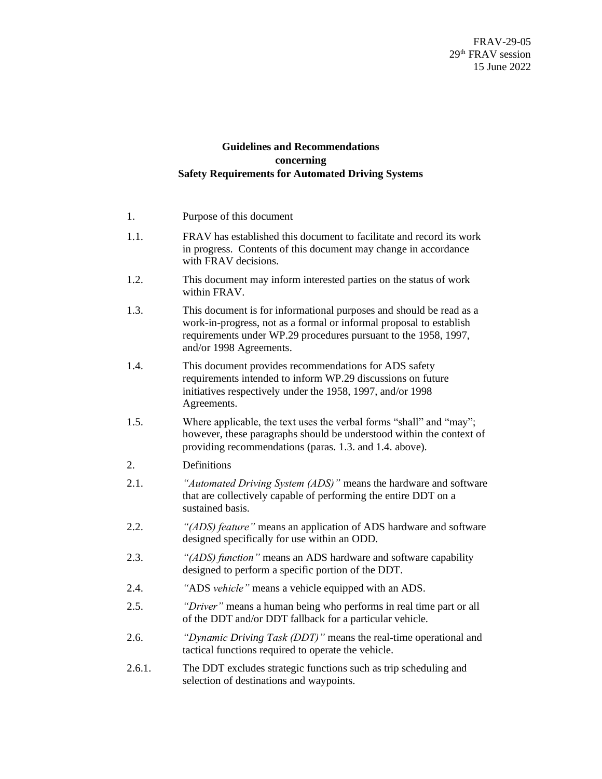## **Guidelines and Recommendations concerning Safety Requirements for Automated Driving Systems**

| 1.     | Purpose of this document                                                                                                                                                                                                                 |  |  |  |
|--------|------------------------------------------------------------------------------------------------------------------------------------------------------------------------------------------------------------------------------------------|--|--|--|
| 1.1.   | FRAV has established this document to facilitate and record its work<br>in progress. Contents of this document may change in accordance<br>with FRAV decisions.                                                                          |  |  |  |
| 1.2.   | This document may inform interested parties on the status of work<br>within FRAV.                                                                                                                                                        |  |  |  |
| 1.3.   | This document is for informational purposes and should be read as a<br>work-in-progress, not as a formal or informal proposal to establish<br>requirements under WP.29 procedures pursuant to the 1958, 1997,<br>and/or 1998 Agreements. |  |  |  |
| 1.4.   | This document provides recommendations for ADS safety<br>requirements intended to inform WP.29 discussions on future<br>initiatives respectively under the 1958, 1997, and/or 1998<br>Agreements.                                        |  |  |  |
| 1.5.   | Where applicable, the text uses the verbal forms "shall" and "may";<br>however, these paragraphs should be understood within the context of<br>providing recommendations (paras. 1.3. and 1.4. above).                                   |  |  |  |
| 2.     | Definitions                                                                                                                                                                                                                              |  |  |  |
| 2.1.   | "Automated Driving System (ADS)" means the hardware and software<br>that are collectively capable of performing the entire DDT on a<br>sustained basis.                                                                                  |  |  |  |
| 2.2.   | "(ADS) feature" means an application of ADS hardware and software<br>designed specifically for use within an ODD.                                                                                                                        |  |  |  |
| 2.3.   | "(ADS) function" means an ADS hardware and software capability<br>designed to perform a specific portion of the DDT.                                                                                                                     |  |  |  |
| 2.4.   | "ADS vehicle" means a vehicle equipped with an ADS.                                                                                                                                                                                      |  |  |  |
| 2.5.   | "Driver" means a human being who performs in real time part or all<br>of the DDT and/or DDT fallback for a particular vehicle.                                                                                                           |  |  |  |
| 2.6.   | "Dynamic Driving Task (DDT)" means the real-time operational and<br>tactical functions required to operate the vehicle.                                                                                                                  |  |  |  |
| 2.6.1. | The DDT excludes strategic functions such as trip scheduling and<br>selection of destinations and waypoints.                                                                                                                             |  |  |  |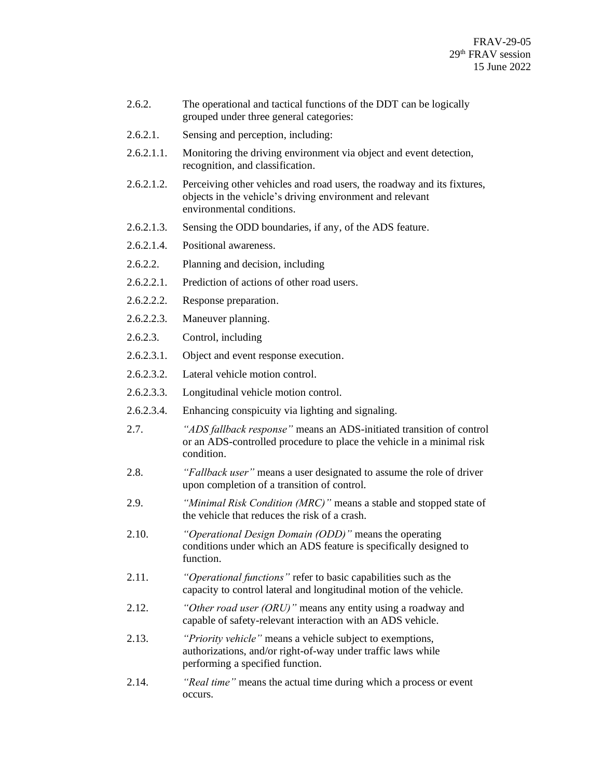- 2.6.2. The operational and tactical functions of the DDT can be logically grouped under three general categories:
- 2.6.2.1. Sensing and perception, including:
- 2.6.2.1.1. Monitoring the driving environment via object and event detection, recognition, and classification.
- 2.6.2.1.2. Perceiving other vehicles and road users, the roadway and its fixtures, objects in the vehicle's driving environment and relevant environmental conditions.
- 2.6.2.1.3. Sensing the ODD boundaries, if any, of the ADS feature.
- 2.6.2.1.4. Positional awareness.
- 2.6.2.2. Planning and decision, including
- 2.6.2.2.1. Prediction of actions of other road users.
- 2.6.2.2.2. Response preparation.
- 2.6.2.2.3. Maneuver planning.
- 2.6.2.3. Control, including
- 2.6.2.3.1. Object and event response execution.
- 2.6.2.3.2. Lateral vehicle motion control.
- 2.6.2.3.3. Longitudinal vehicle motion control.
- 2.6.2.3.4. Enhancing conspicuity via lighting and signaling.
- 2.7. *"ADS fallback response"* means an ADS-initiated transition of control or an ADS-controlled procedure to place the vehicle in a minimal risk condition.
- 2.8. *"Fallback user"* means a user designated to assume the role of driver upon completion of a transition of control.
- 2.9. *"Minimal Risk Condition (MRC)"* means a stable and stopped state of the vehicle that reduces the risk of a crash.
- 2.10. *"Operational Design Domain (ODD)"* means the operating conditions under which an ADS feature is specifically designed to function.
- 2.11. *"Operational functions"* refer to basic capabilities such as the capacity to control lateral and longitudinal motion of the vehicle.
- 2.12. *"Other road user (ORU)"* means any entity using a roadway and capable of safety-relevant interaction with an ADS vehicle.
- 2.13. *"Priority vehicle"* means a vehicle subject to exemptions, authorizations, and/or right-of-way under traffic laws while performing a specified function.
- 2.14. *"Real time"* means the actual time during which a process or event occurs.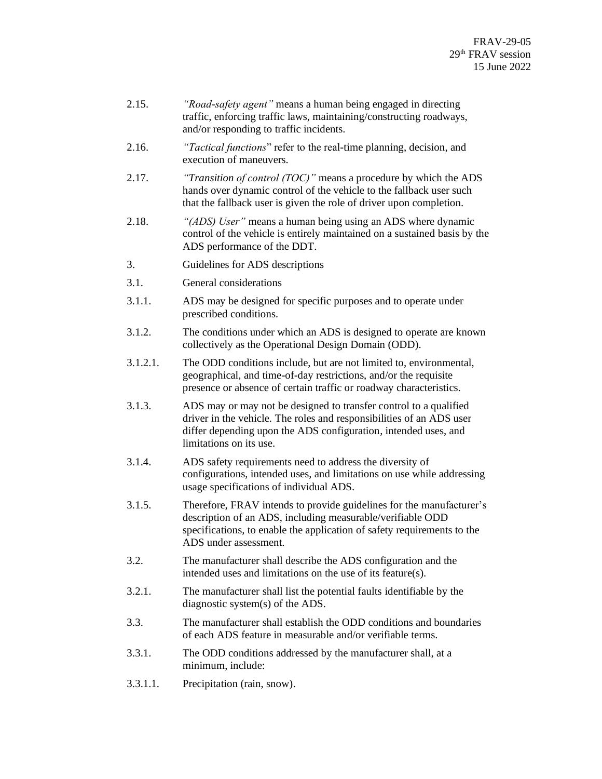- 2.15. *"Road-safety agent"* means a human being engaged in directing traffic, enforcing traffic laws, maintaining/constructing roadways, and/or responding to traffic incidents.
- 2.16. *"Tactical functions*" refer to the real-time planning, decision, and execution of maneuvers.
- 2.17. *"Transition of control (TOC)"* means a procedure by which the ADS hands over dynamic control of the vehicle to the fallback user such that the fallback user is given the role of driver upon completion.
- 2.18. *"(ADS) User"* means a human being using an ADS where dynamic control of the vehicle is entirely maintained on a sustained basis by the ADS performance of the DDT.
- 3. Guidelines for ADS descriptions
- 3.1. General considerations
- 3.1.1. ADS may be designed for specific purposes and to operate under prescribed conditions.
- 3.1.2. The conditions under which an ADS is designed to operate are known collectively as the Operational Design Domain (ODD).
- 3.1.2.1. The ODD conditions include, but are not limited to, environmental, geographical, and time-of-day restrictions, and/or the requisite presence or absence of certain traffic or roadway characteristics.
- 3.1.3. ADS may or may not be designed to transfer control to a qualified driver in the vehicle. The roles and responsibilities of an ADS user differ depending upon the ADS configuration, intended uses, and limitations on its use.
- 3.1.4. ADS safety requirements need to address the diversity of configurations, intended uses, and limitations on use while addressing usage specifications of individual ADS.
- 3.1.5. Therefore, FRAV intends to provide guidelines for the manufacturer's description of an ADS, including measurable/verifiable ODD specifications, to enable the application of safety requirements to the ADS under assessment.
- 3.2. The manufacturer shall describe the ADS configuration and the intended uses and limitations on the use of its feature(s).
- 3.2.1. The manufacturer shall list the potential faults identifiable by the diagnostic system(s) of the ADS.
- 3.3. The manufacturer shall establish the ODD conditions and boundaries of each ADS feature in measurable and/or verifiable terms.
- 3.3.1. The ODD conditions addressed by the manufacturer shall, at a minimum, include:
- 3.3.1.1. Precipitation (rain, snow).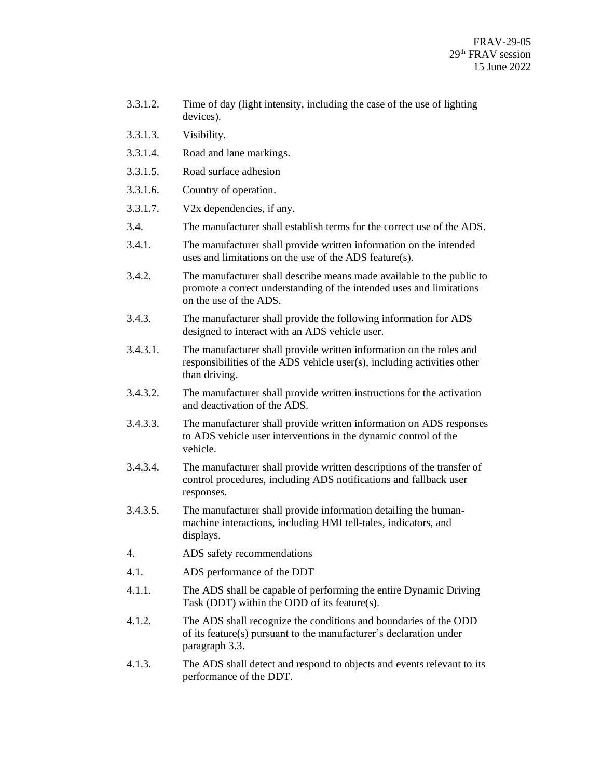- 3.3.1.2. Time of day (light intensity, including the case of the use of lighting devices).
- 3.3.1.3. Visibility.
- 3.3.1.4. Road and lane markings.
- 3.3.1.5. Road surface adhesion
- 3.3.1.6. Country of operation.
- 3.3.1.7. V2x dependencies, if any.
- 3.4. The manufacturer shall establish terms for the correct use of the ADS.
- 3.4.1. The manufacturer shall provide written information on the intended uses and limitations on the use of the ADS feature(s).
- 3.4.2. The manufacturer shall describe means made available to the public to promote a correct understanding of the intended uses and limitations on the use of the ADS.
- 3.4.3. The manufacturer shall provide the following information for ADS designed to interact with an ADS vehicle user.
- 3.4.3.1. The manufacturer shall provide written information on the roles and responsibilities of the ADS vehicle user(s), including activities other than driving.
- 3.4.3.2. The manufacturer shall provide written instructions for the activation and deactivation of the ADS.
- 3.4.3.3. The manufacturer shall provide written information on ADS responses to ADS vehicle user interventions in the dynamic control of the vehicle.
- 3.4.3.4. The manufacturer shall provide written descriptions of the transfer of control procedures, including ADS notifications and fallback user responses.
- 3.4.3.5. The manufacturer shall provide information detailing the humanmachine interactions, including HMI tell-tales, indicators, and displays.
- 4. ADS safety recommendations
- 4.1. ADS performance of the DDT
- 4.1.1. The ADS shall be capable of performing the entire Dynamic Driving Task (DDT) within the ODD of its feature(s).
- 4.1.2. The ADS shall recognize the conditions and boundaries of the ODD of its feature(s) pursuant to the manufacturer's declaration under paragraph 3.3.
- 4.1.3. The ADS shall detect and respond to objects and events relevant to its performance of the DDT.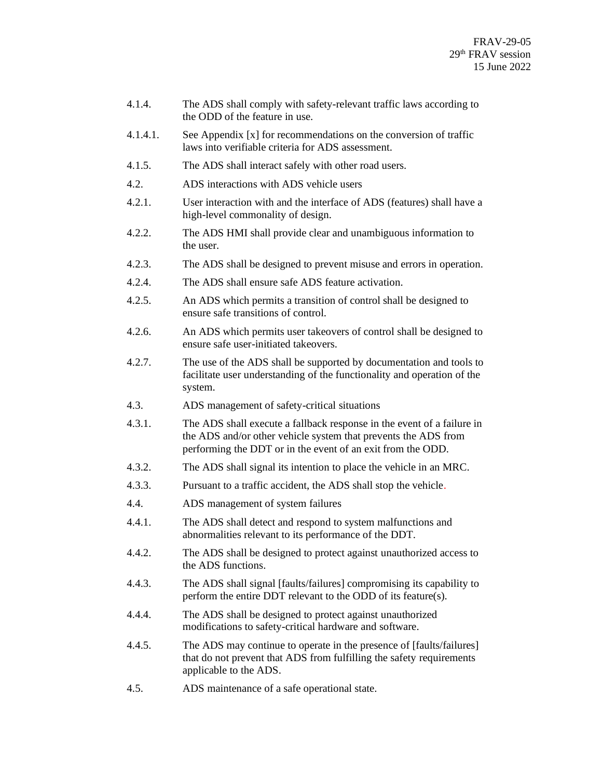- 4.1.4. The ADS shall comply with safety-relevant traffic laws according to the ODD of the feature in use.
- 4.1.4.1. See Appendix [x] for recommendations on the conversion of traffic laws into verifiable criteria for ADS assessment.
- 4.1.5. The ADS shall interact safely with other road users.
- 4.2. ADS interactions with ADS vehicle users
- 4.2.1. User interaction with and the interface of ADS (features) shall have a high-level commonality of design.
- 4.2.2. The ADS HMI shall provide clear and unambiguous information to the user.
- 4.2.3. The ADS shall be designed to prevent misuse and errors in operation.
- 4.2.4. The ADS shall ensure safe ADS feature activation.
- 4.2.5. An ADS which permits a transition of control shall be designed to ensure safe transitions of control.
- 4.2.6. An ADS which permits user takeovers of control shall be designed to ensure safe user-initiated takeovers.
- 4.2.7. The use of the ADS shall be supported by documentation and tools to facilitate user understanding of the functionality and operation of the system.
- 4.3. ADS management of safety-critical situations
- 4.3.1. The ADS shall execute a fallback response in the event of a failure in the ADS and/or other vehicle system that prevents the ADS from performing the DDT or in the event of an exit from the ODD.
- 4.3.2. The ADS shall signal its intention to place the vehicle in an MRC.
- 4.3.3. Pursuant to a traffic accident, the ADS shall stop the vehicle.
- 4.4. ADS management of system failures
- 4.4.1. The ADS shall detect and respond to system malfunctions and abnormalities relevant to its performance of the DDT.
- 4.4.2. The ADS shall be designed to protect against unauthorized access to the ADS functions.
- 4.4.3. The ADS shall signal [faults/failures] compromising its capability to perform the entire DDT relevant to the ODD of its feature(s).
- 4.4.4. The ADS shall be designed to protect against unauthorized modifications to safety-critical hardware and software.
- 4.4.5. The ADS may continue to operate in the presence of [faults/failures] that do not prevent that ADS from fulfilling the safety requirements applicable to the ADS.
- 4.5. ADS maintenance of a safe operational state.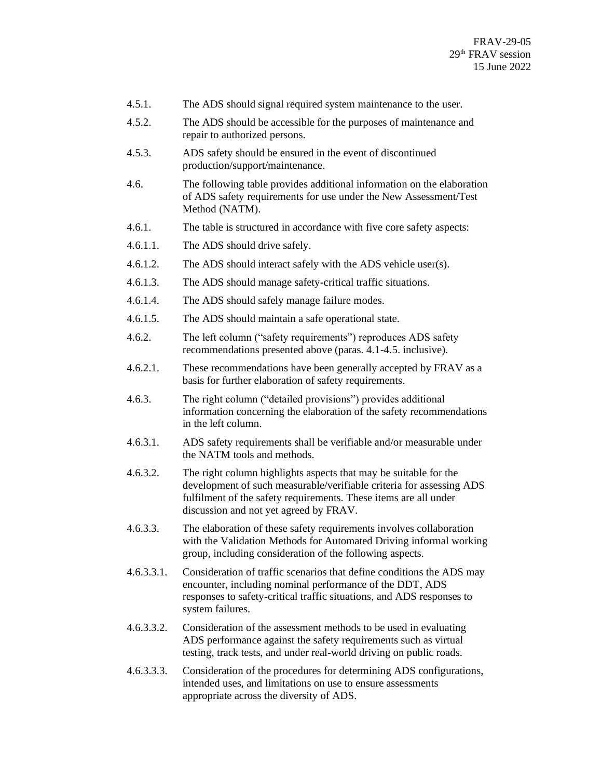- 4.5.1. The ADS should signal required system maintenance to the user.
- 4.5.2. The ADS should be accessible for the purposes of maintenance and repair to authorized persons.
- 4.5.3. ADS safety should be ensured in the event of discontinued production/support/maintenance.
- 4.6. The following table provides additional information on the elaboration of ADS safety requirements for use under the New Assessment/Test Method (NATM).
- 4.6.1. The table is structured in accordance with five core safety aspects:
- 4.6.1.1. The ADS should drive safely.
- 4.6.1.2. The ADS should interact safely with the ADS vehicle user(s).
- 4.6.1.3. The ADS should manage safety-critical traffic situations.
- 4.6.1.4. The ADS should safely manage failure modes.
- 4.6.1.5. The ADS should maintain a safe operational state.
- 4.6.2. The left column ("safety requirements") reproduces ADS safety recommendations presented above (paras. 4.1-4.5. inclusive).
- 4.6.2.1. These recommendations have been generally accepted by FRAV as a basis for further elaboration of safety requirements.
- 4.6.3. The right column ("detailed provisions") provides additional information concerning the elaboration of the safety recommendations in the left column.
- 4.6.3.1. ADS safety requirements shall be verifiable and/or measurable under the NATM tools and methods.
- 4.6.3.2. The right column highlights aspects that may be suitable for the development of such measurable/verifiable criteria for assessing ADS fulfilment of the safety requirements. These items are all under discussion and not yet agreed by FRAV.
- 4.6.3.3. The elaboration of these safety requirements involves collaboration with the Validation Methods for Automated Driving informal working group, including consideration of the following aspects.
- 4.6.3.3.1. Consideration of traffic scenarios that define conditions the ADS may encounter, including nominal performance of the DDT, ADS responses to safety-critical traffic situations, and ADS responses to system failures.
- 4.6.3.3.2. Consideration of the assessment methods to be used in evaluating ADS performance against the safety requirements such as virtual testing, track tests, and under real-world driving on public roads.
- 4.6.3.3.3. Consideration of the procedures for determining ADS configurations, intended uses, and limitations on use to ensure assessments appropriate across the diversity of ADS.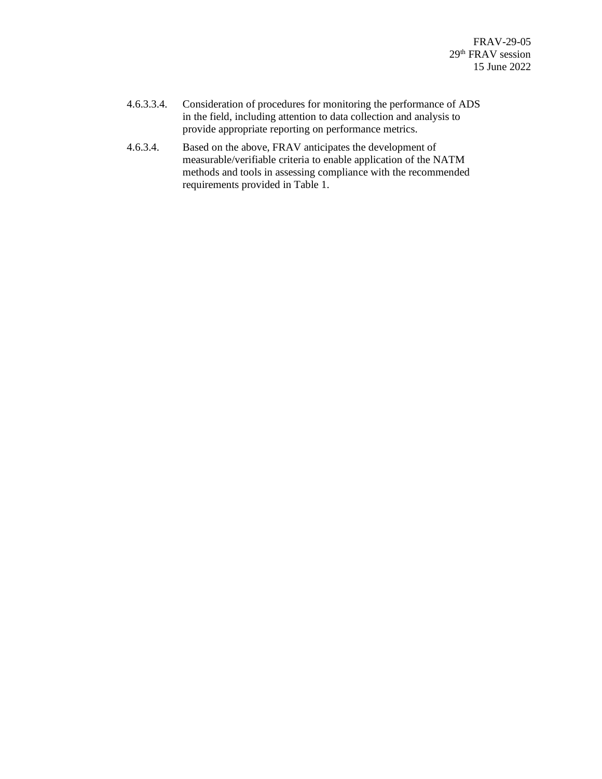- 4.6.3.3.4. Consideration of procedures for monitoring the performance of ADS in the field, including attention to data collection and analysis to provide appropriate reporting on performance metrics.
- 4.6.3.4. Based on the above, FRAV anticipates the development of measurable/verifiable criteria to enable application of the NATM methods and tools in assessing compliance with the recommended requirements provided in Table 1.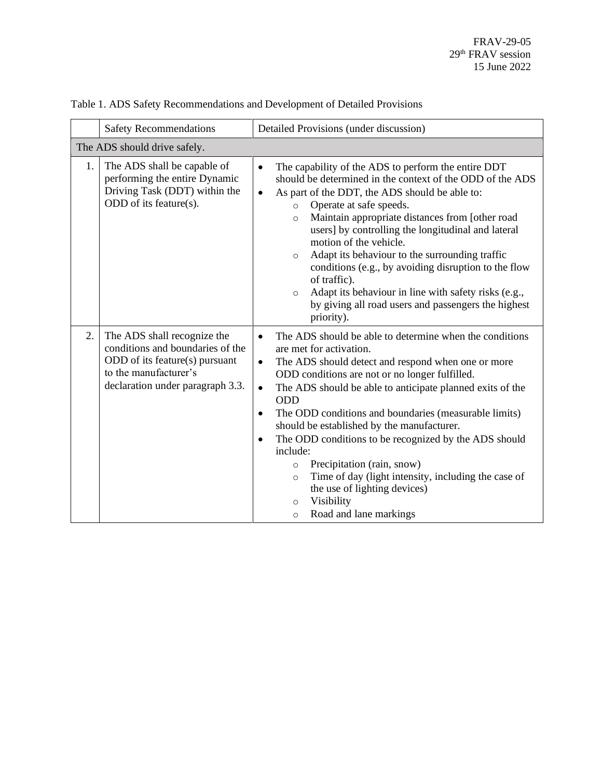|    | <b>Safety Recommendations</b>                                                                                                                                  | Detailed Provisions (under discussion)                                                                                                                                                                                                                                                                                                                                                                                                                                                                                                                                                                                                                                                                                      |  |  |
|----|----------------------------------------------------------------------------------------------------------------------------------------------------------------|-----------------------------------------------------------------------------------------------------------------------------------------------------------------------------------------------------------------------------------------------------------------------------------------------------------------------------------------------------------------------------------------------------------------------------------------------------------------------------------------------------------------------------------------------------------------------------------------------------------------------------------------------------------------------------------------------------------------------------|--|--|
|    | The ADS should drive safely.                                                                                                                                   |                                                                                                                                                                                                                                                                                                                                                                                                                                                                                                                                                                                                                                                                                                                             |  |  |
| 1. | The ADS shall be capable of<br>performing the entire Dynamic<br>Driving Task (DDT) within the<br>ODD of its feature(s).                                        | The capability of the ADS to perform the entire DDT<br>$\bullet$<br>should be determined in the context of the ODD of the ADS<br>As part of the DDT, the ADS should be able to:<br>$\bullet$<br>Operate at safe speeds.<br>$\circ$<br>Maintain appropriate distances from [other road<br>$\circ$<br>users] by controlling the longitudinal and lateral<br>motion of the vehicle.<br>Adapt its behaviour to the surrounding traffic<br>$\circ$<br>conditions (e.g., by avoiding disruption to the flow<br>of traffic).<br>Adapt its behaviour in line with safety risks (e.g.,<br>$\circ$<br>by giving all road users and passengers the highest<br>priority).                                                               |  |  |
| 2. | The ADS shall recognize the<br>conditions and boundaries of the<br>ODD of its feature(s) pursuant<br>to the manufacturer's<br>declaration under paragraph 3.3. | The ADS should be able to determine when the conditions<br>$\bullet$<br>are met for activation.<br>The ADS should detect and respond when one or more<br>$\bullet$<br>ODD conditions are not or no longer fulfilled.<br>The ADS should be able to anticipate planned exits of the<br>$\bullet$<br><b>ODD</b><br>The ODD conditions and boundaries (measurable limits)<br>$\bullet$<br>should be established by the manufacturer.<br>The ODD conditions to be recognized by the ADS should<br>$\bullet$<br>include:<br>Precipitation (rain, snow)<br>$\circ$<br>Time of day (light intensity, including the case of<br>$\circ$<br>the use of lighting devices)<br>Visibility<br>$\circ$<br>Road and lane markings<br>$\circ$ |  |  |

Table 1. ADS Safety Recommendations and Development of Detailed Provisions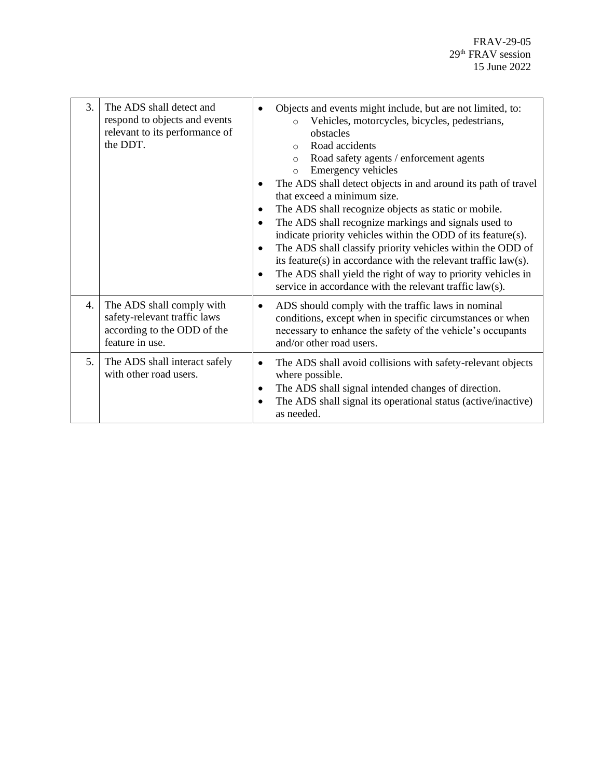| 3. | The ADS shall detect and<br>respond to objects and events<br>relevant to its performance of<br>the DDT.     | Objects and events might include, but are not limited, to:<br>Vehicles, motorcycles, bicycles, pedestrians,<br>$\circ$<br>obstacles<br>Road accidents<br>$\Omega$<br>Road safety agents / enforcement agents<br>$\circ$<br>Emergency vehicles<br>$\circ$<br>The ADS shall detect objects in and around its path of travel<br>that exceed a minimum size.<br>The ADS shall recognize objects as static or mobile.<br>$\bullet$<br>The ADS shall recognize markings and signals used to<br>$\bullet$<br>indicate priority vehicles within the ODD of its feature(s).<br>The ADS shall classify priority vehicles within the ODD of<br>$\bullet$<br>its feature(s) in accordance with the relevant traffic law(s).<br>The ADS shall yield the right of way to priority vehicles in<br>$\bullet$<br>service in accordance with the relevant traffic law(s). |
|----|-------------------------------------------------------------------------------------------------------------|---------------------------------------------------------------------------------------------------------------------------------------------------------------------------------------------------------------------------------------------------------------------------------------------------------------------------------------------------------------------------------------------------------------------------------------------------------------------------------------------------------------------------------------------------------------------------------------------------------------------------------------------------------------------------------------------------------------------------------------------------------------------------------------------------------------------------------------------------------|
| 4. | The ADS shall comply with<br>safety-relevant traffic laws<br>according to the ODD of the<br>feature in use. | ADS should comply with the traffic laws in nominal<br>conditions, except when in specific circumstances or when<br>necessary to enhance the safety of the vehicle's occupants<br>and/or other road users.                                                                                                                                                                                                                                                                                                                                                                                                                                                                                                                                                                                                                                               |
| 5. | The ADS shall interact safely<br>with other road users.                                                     | The ADS shall avoid collisions with safety-relevant objects<br>٠<br>where possible.<br>The ADS shall signal intended changes of direction.<br>$\bullet$<br>The ADS shall signal its operational status (active/inactive)<br>$\bullet$<br>as needed.                                                                                                                                                                                                                                                                                                                                                                                                                                                                                                                                                                                                     |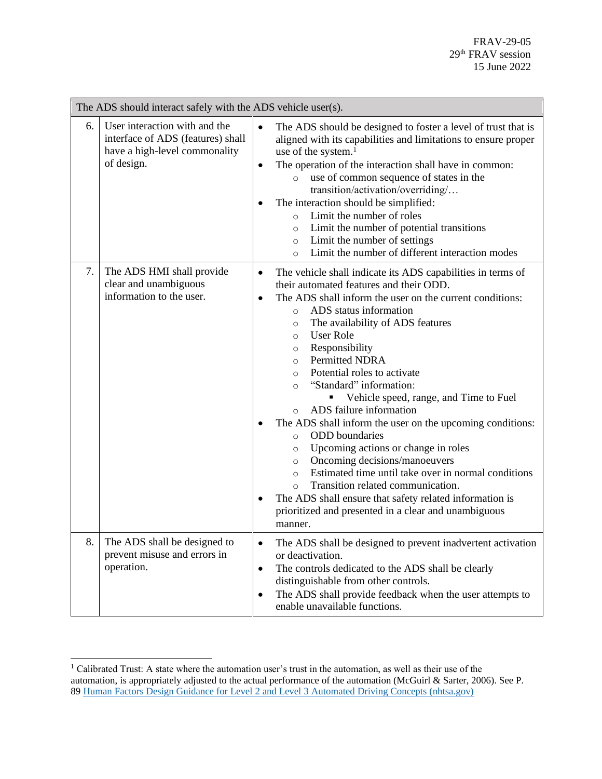|    | The ADS should interact safely with the ADS vehicle user(s).                                                      |                                                                                                                                                                                                                                                                                                                                                                                                                                                                                                                                                                                                                                                                                                                                                                                                                                                                                                                                                                                                        |  |
|----|-------------------------------------------------------------------------------------------------------------------|--------------------------------------------------------------------------------------------------------------------------------------------------------------------------------------------------------------------------------------------------------------------------------------------------------------------------------------------------------------------------------------------------------------------------------------------------------------------------------------------------------------------------------------------------------------------------------------------------------------------------------------------------------------------------------------------------------------------------------------------------------------------------------------------------------------------------------------------------------------------------------------------------------------------------------------------------------------------------------------------------------|--|
| 6. | User interaction with and the<br>interface of ADS (features) shall<br>have a high-level commonality<br>of design. | The ADS should be designed to foster a level of trust that is<br>$\bullet$<br>aligned with its capabilities and limitations to ensure proper<br>use of the system. <sup>1</sup><br>The operation of the interaction shall have in common:<br>$\bullet$<br>use of common sequence of states in the<br>$\circ$<br>transition/activation/overriding/<br>The interaction should be simplified:<br>Limit the number of roles<br>$\circ$<br>Limit the number of potential transitions<br>$\circ$<br>Limit the number of settings<br>$\circ$<br>Limit the number of different interaction modes<br>$\circ$                                                                                                                                                                                                                                                                                                                                                                                                    |  |
| 7. | The ADS HMI shall provide<br>clear and unambiguous<br>information to the user.                                    | The vehicle shall indicate its ADS capabilities in terms of<br>$\bullet$<br>their automated features and their ODD.<br>The ADS shall inform the user on the current conditions:<br>$\bullet$<br>ADS status information<br>$\circ$<br>The availability of ADS features<br>$\circ$<br><b>User Role</b><br>$\circ$<br>Responsibility<br>$\circ$<br><b>Permitted NDRA</b><br>$\circ$<br>Potential roles to activate<br>$\circ$<br>"Standard" information:<br>$\circ$<br>Vehicle speed, range, and Time to Fuel<br>п.<br>ADS failure information<br>$\circ$<br>The ADS shall inform the user on the upcoming conditions:<br><b>ODD</b> boundaries<br>$\circ$<br>Upcoming actions or change in roles<br>$\circ$<br>Oncoming decisions/manoeuvers<br>$\circ$<br>Estimated time until take over in normal conditions<br>$\circ$<br>Transition related communication.<br>$\Omega$<br>The ADS shall ensure that safety related information is<br>prioritized and presented in a clear and unambiguous<br>manner. |  |
| 8. | The ADS shall be designed to<br>prevent misuse and errors in<br>operation.                                        | The ADS shall be designed to prevent inadvertent activation<br>٠<br>or deactivation.<br>The controls dedicated to the ADS shall be clearly<br>$\bullet$<br>distinguishable from other controls.<br>The ADS shall provide feedback when the user attempts to<br>$\bullet$<br>enable unavailable functions.                                                                                                                                                                                                                                                                                                                                                                                                                                                                                                                                                                                                                                                                                              |  |

<sup>&</sup>lt;sup>1</sup> Calibrated Trust: A state where the automation user's trust in the automation, as well as their use of the automation, is appropriately adjusted to the actual performance of the automation (McGuirl & Sarter, 2006). See P. 8[9 Human Factors Design Guidance for Level 2 and Level 3 Automated Driving Concepts \(nhtsa.gov\)](https://www.nhtsa.gov/sites/nhtsa.gov/files/documents/13494_812555_l2l3automationhfguidance.pdf)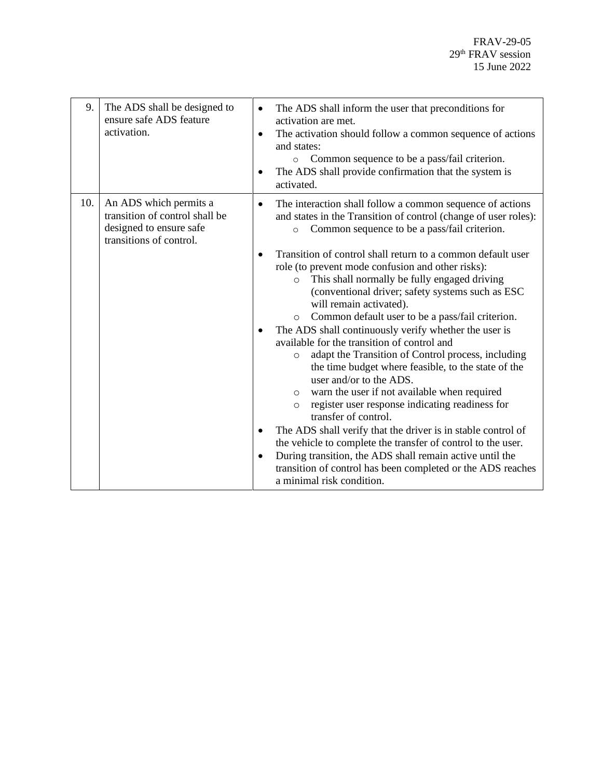| 9.  | The ADS shall be designed to<br>ensure safe ADS feature<br>activation.                                         | The ADS shall inform the user that preconditions for<br>activation are met.<br>The activation should follow a common sequence of actions<br>$\bullet$<br>and states:<br>Common sequence to be a pass/fail criterion.<br>$\circ$<br>The ADS shall provide confirmation that the system is<br>activated.                                                                                                                                                                                                                                                                                                                                                                                                                                                                                                                                                                                                                                                                                                                                                                                                                                                                                                                                             |
|-----|----------------------------------------------------------------------------------------------------------------|----------------------------------------------------------------------------------------------------------------------------------------------------------------------------------------------------------------------------------------------------------------------------------------------------------------------------------------------------------------------------------------------------------------------------------------------------------------------------------------------------------------------------------------------------------------------------------------------------------------------------------------------------------------------------------------------------------------------------------------------------------------------------------------------------------------------------------------------------------------------------------------------------------------------------------------------------------------------------------------------------------------------------------------------------------------------------------------------------------------------------------------------------------------------------------------------------------------------------------------------------|
| 10. | An ADS which permits a<br>transition of control shall be<br>designed to ensure safe<br>transitions of control. | The interaction shall follow a common sequence of actions<br>$\bullet$<br>and states in the Transition of control (change of user roles):<br>Common sequence to be a pass/fail criterion.<br>$\circ$<br>Transition of control shall return to a common default user<br>role (to prevent mode confusion and other risks):<br>This shall normally be fully engaged driving<br>$\circ$<br>(conventional driver; safety systems such as ESC<br>will remain activated).<br>Common default user to be a pass/fail criterion.<br>$\circ$<br>The ADS shall continuously verify whether the user is<br>available for the transition of control and<br>adapt the Transition of Control process, including<br>$\circ$<br>the time budget where feasible, to the state of the<br>user and/or to the ADS.<br>warn the user if not available when required<br>$\circ$<br>register user response indicating readiness for<br>$\circ$<br>transfer of control.<br>The ADS shall verify that the driver is in stable control of<br>the vehicle to complete the transfer of control to the user.<br>During transition, the ADS shall remain active until the<br>$\bullet$<br>transition of control has been completed or the ADS reaches<br>a minimal risk condition. |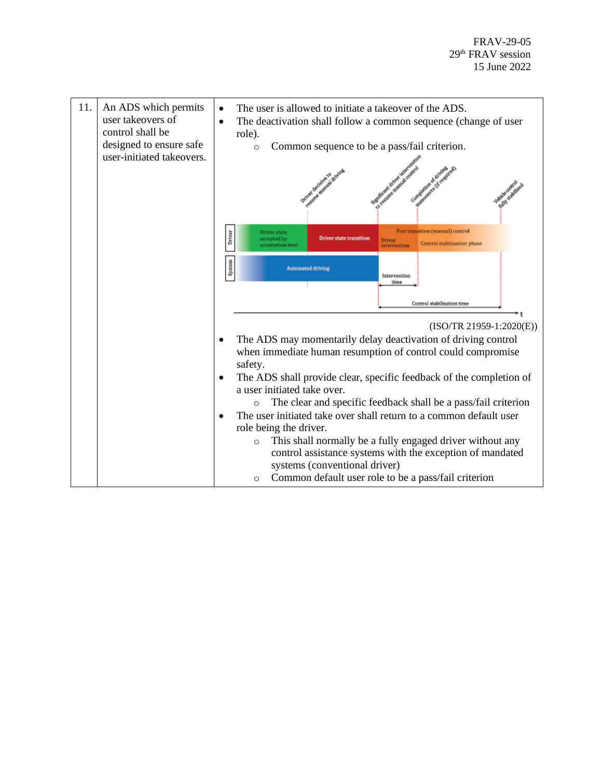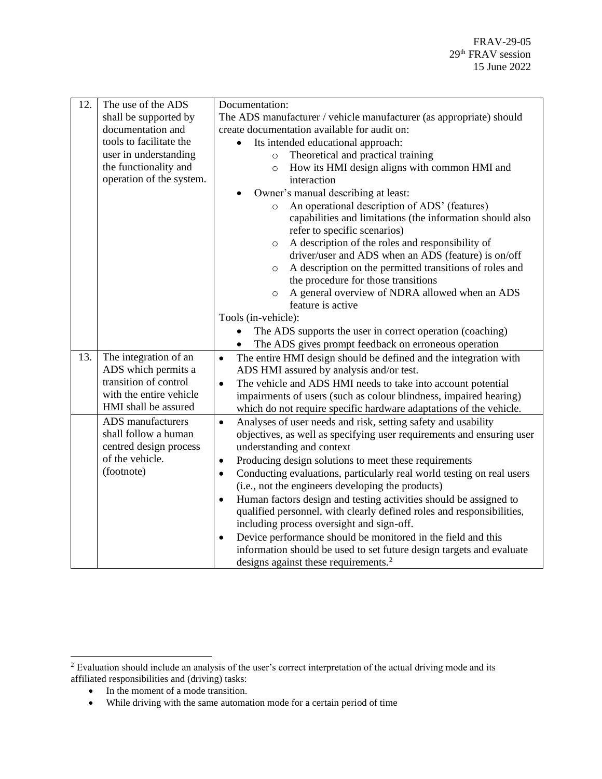| 12. | The use of the ADS       | Documentation:                                                                     |
|-----|--------------------------|------------------------------------------------------------------------------------|
|     | shall be supported by    | The ADS manufacturer / vehicle manufacturer (as appropriate) should                |
|     | documentation and        | create documentation available for audit on:                                       |
|     | tools to facilitate the  | Its intended educational approach:<br>$\bullet$                                    |
|     | user in understanding    | Theoretical and practical training<br>$\circ$                                      |
|     | the functionality and    | How its HMI design aligns with common HMI and<br>$\circ$                           |
|     | operation of the system. | interaction                                                                        |
|     |                          | Owner's manual describing at least:                                                |
|     |                          | An operational description of ADS' (features)<br>$\circ$                           |
|     |                          | capabilities and limitations (the information should also                          |
|     |                          | refer to specific scenarios)                                                       |
|     |                          | A description of the roles and responsibility of<br>$\circ$                        |
|     |                          | driver/user and ADS when an ADS (feature) is on/off                                |
|     |                          | A description on the permitted transitions of roles and<br>$\circ$                 |
|     |                          | the procedure for those transitions                                                |
|     |                          | A general overview of NDRA allowed when an ADS<br>$\circ$                          |
|     |                          | feature is active                                                                  |
|     |                          | Tools (in-vehicle):                                                                |
|     |                          | The ADS supports the user in correct operation (coaching)                          |
|     |                          | The ADS gives prompt feedback on erroneous operation                               |
| 13. | The integration of an    | The entire HMI design should be defined and the integration with<br>$\bullet$      |
|     | ADS which permits a      | ADS HMI assured by analysis and/or test.                                           |
|     | transition of control    | The vehicle and ADS HMI needs to take into account potential<br>$\bullet$          |
|     | with the entire vehicle  | impairments of users (such as colour blindness, impaired hearing)                  |
|     | HMI shall be assured     | which do not require specific hardware adaptations of the vehicle.                 |
|     | ADS manufacturers        | Analyses of user needs and risk, setting safety and usability<br>$\bullet$         |
|     | shall follow a human     | objectives, as well as specifying user requirements and ensuring user              |
|     | centred design process   | understanding and context                                                          |
|     | of the vehicle.          | Producing design solutions to meet these requirements<br>$\bullet$                 |
|     | (footnote)               | Conducting evaluations, particularly real world testing on real users<br>$\bullet$ |
|     |                          | (i.e., not the engineers developing the products)                                  |
|     |                          | Human factors design and testing activities should be assigned to<br>$\bullet$     |
|     |                          | qualified personnel, with clearly defined roles and responsibilities,              |
|     |                          | including process oversight and sign-off.                                          |
|     |                          | Device performance should be monitored in the field and this<br>$\bullet$          |
|     |                          | information should be used to set future design targets and evaluate               |
|     |                          | designs against these requirements. <sup>2</sup>                                   |

• In the moment of a mode transition.

<sup>&</sup>lt;sup>2</sup> Evaluation should include an analysis of the user's correct interpretation of the actual driving mode and its affiliated responsibilities and (driving) tasks:

<sup>•</sup> While driving with the same automation mode for a certain period of time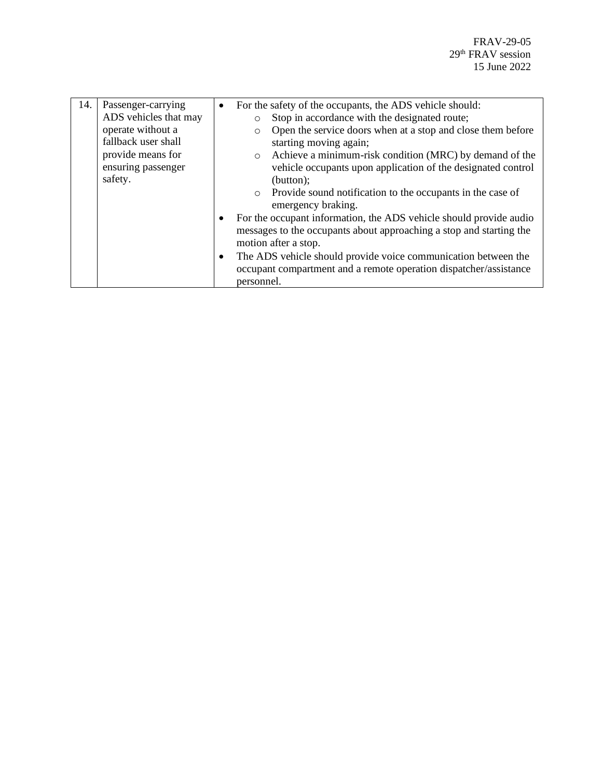| 14. | Passenger-carrying    | $\bullet$ | For the safety of the occupants, the ADS vehicle should:               |
|-----|-----------------------|-----------|------------------------------------------------------------------------|
|     | ADS vehicles that may |           | Stop in accordance with the designated route;<br>$\circ$               |
|     | operate without a     |           | Open the service doors when at a stop and close them before<br>$\circ$ |
|     | fallback user shall   |           | starting moving again;                                                 |
|     | provide means for     |           | Achieve a minimum-risk condition (MRC) by demand of the<br>$\circ$     |
|     | ensuring passenger    |           | vehicle occupants upon application of the designated control           |
|     | safety.               |           | (button);                                                              |
|     |                       |           | • Provide sound notification to the occupants in the case of           |
|     |                       |           | emergency braking.                                                     |
|     |                       | $\bullet$ | For the occupant information, the ADS vehicle should provide audio     |
|     |                       |           | messages to the occupants about approaching a stop and starting the    |
|     |                       |           | motion after a stop.                                                   |
|     |                       | $\bullet$ | The ADS vehicle should provide voice communication between the         |
|     |                       |           | occupant compartment and a remote operation dispatcher/assistance      |
|     |                       |           | personnel.                                                             |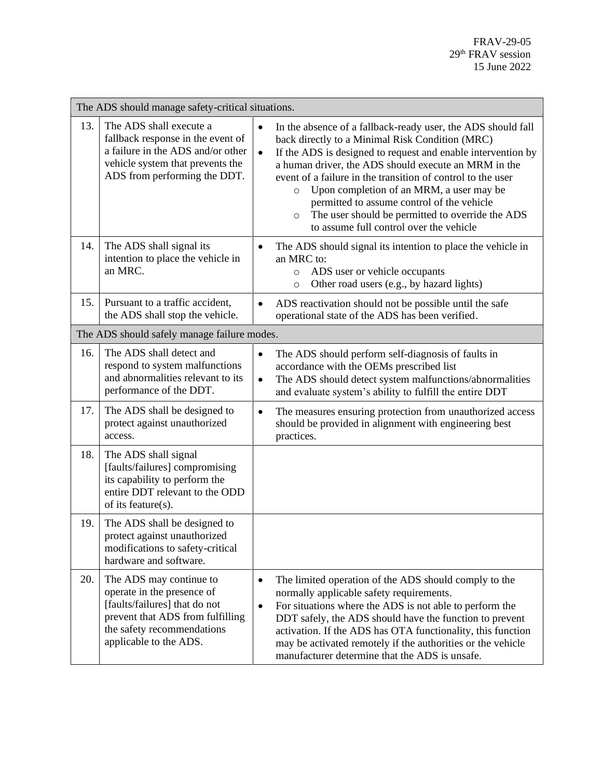| The ADS should manage safety-critical situations. |                                                                                                                                                                                    |                                                                                                                                                                                                                                                                                                                                                                                                                                                                                                                                                 |  |
|---------------------------------------------------|------------------------------------------------------------------------------------------------------------------------------------------------------------------------------------|-------------------------------------------------------------------------------------------------------------------------------------------------------------------------------------------------------------------------------------------------------------------------------------------------------------------------------------------------------------------------------------------------------------------------------------------------------------------------------------------------------------------------------------------------|--|
| 13.                                               | The ADS shall execute a<br>fallback response in the event of<br>a failure in the ADS and/or other<br>vehicle system that prevents the<br>ADS from performing the DDT.              | In the absence of a fallback-ready user, the ADS should fall<br>$\bullet$<br>back directly to a Minimal Risk Condition (MRC)<br>If the ADS is designed to request and enable intervention by<br>$\bullet$<br>a human driver, the ADS should execute an MRM in the<br>event of a failure in the transition of control to the user<br>Upon completion of an MRM, a user may be<br>$\circ$<br>permitted to assume control of the vehicle<br>The user should be permitted to override the ADS<br>$\circ$<br>to assume full control over the vehicle |  |
| 14.                                               | The ADS shall signal its<br>intention to place the vehicle in<br>an MRC.                                                                                                           | The ADS should signal its intention to place the vehicle in<br>an MRC to:<br>ADS user or vehicle occupants<br>$\circ$<br>Other road users (e.g., by hazard lights)<br>$\circ$                                                                                                                                                                                                                                                                                                                                                                   |  |
| 15.                                               | Pursuant to a traffic accident,<br>the ADS shall stop the vehicle.                                                                                                                 | ADS reactivation should not be possible until the safe<br>operational state of the ADS has been verified.                                                                                                                                                                                                                                                                                                                                                                                                                                       |  |
| The ADS should safely manage failure modes.       |                                                                                                                                                                                    |                                                                                                                                                                                                                                                                                                                                                                                                                                                                                                                                                 |  |
| 16.                                               | The ADS shall detect and<br>respond to system malfunctions<br>and abnormalities relevant to its<br>performance of the DDT.                                                         | The ADS should perform self-diagnosis of faults in<br>$\bullet$<br>accordance with the OEMs prescribed list<br>The ADS should detect system malfunctions/abnormalities<br>$\bullet$<br>and evaluate system's ability to fulfill the entire DDT                                                                                                                                                                                                                                                                                                  |  |
| 17.                                               | The ADS shall be designed to<br>protect against unauthorized<br>access.                                                                                                            | The measures ensuring protection from unauthorized access<br>$\bullet$<br>should be provided in alignment with engineering best<br>practices.                                                                                                                                                                                                                                                                                                                                                                                                   |  |
| 18.                                               | The ADS shall signal<br>[faults/failures] compromising<br>its capability to perform the<br>entire DDT relevant to the ODD<br>of its feature(s).                                    |                                                                                                                                                                                                                                                                                                                                                                                                                                                                                                                                                 |  |
| 19.                                               | The ADS shall be designed to<br>protect against unauthorized<br>modifications to safety-critical<br>hardware and software.                                                         |                                                                                                                                                                                                                                                                                                                                                                                                                                                                                                                                                 |  |
| 20.                                               | The ADS may continue to<br>operate in the presence of<br>[faults/failures] that do not<br>prevent that ADS from fulfilling<br>the safety recommendations<br>applicable to the ADS. | The limited operation of the ADS should comply to the<br>$\bullet$<br>normally applicable safety requirements.<br>For situations where the ADS is not able to perform the<br>$\bullet$<br>DDT safely, the ADS should have the function to prevent<br>activation. If the ADS has OTA functionality, this function<br>may be activated remotely if the authorities or the vehicle<br>manufacturer determine that the ADS is unsafe.                                                                                                               |  |